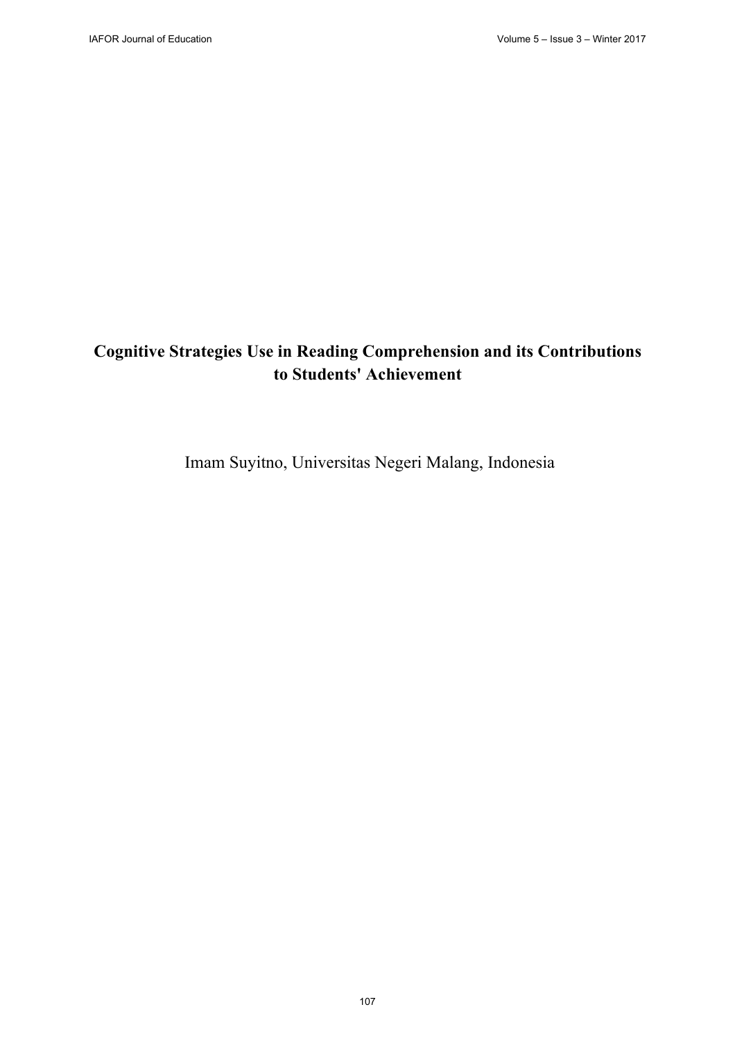# **Cognitive Strategies Use in Reading Comprehension and its Contributions to Students' Achievement**

Imam Suyitno, Universitas Negeri Malang, Indonesia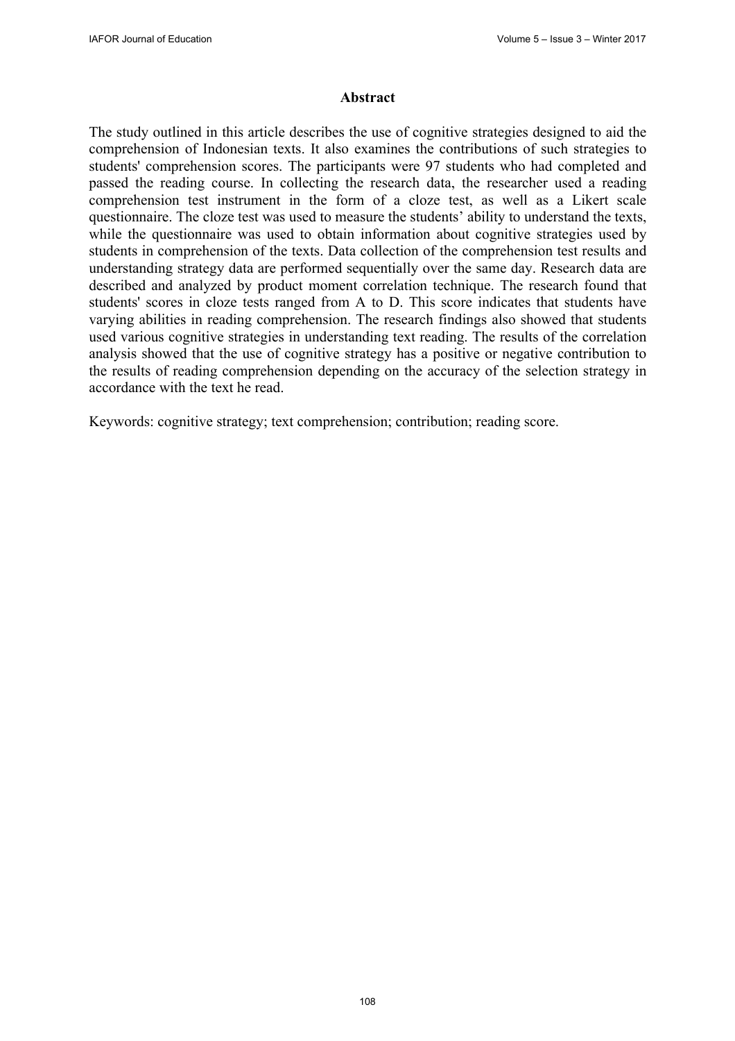#### **Abstract**

The study outlined in this article describes the use of cognitive strategies designed to aid the comprehension of Indonesian texts. It also examines the contributions of such strategies to students' comprehension scores. The participants were 97 students who had completed and passed the reading course. In collecting the research data, the researcher used a reading comprehension test instrument in the form of a cloze test, as well as a Likert scale questionnaire. The cloze test was used to measure the students' ability to understand the texts, while the questionnaire was used to obtain information about cognitive strategies used by students in comprehension of the texts. Data collection of the comprehension test results and understanding strategy data are performed sequentially over the same day. Research data are described and analyzed by product moment correlation technique. The research found that students' scores in cloze tests ranged from A to D. This score indicates that students have varying abilities in reading comprehension. The research findings also showed that students used various cognitive strategies in understanding text reading. The results of the correlation analysis showed that the use of cognitive strategy has a positive or negative contribution to the results of reading comprehension depending on the accuracy of the selection strategy in accordance with the text he read.

Keywords: cognitive strategy; text comprehension; contribution; reading score.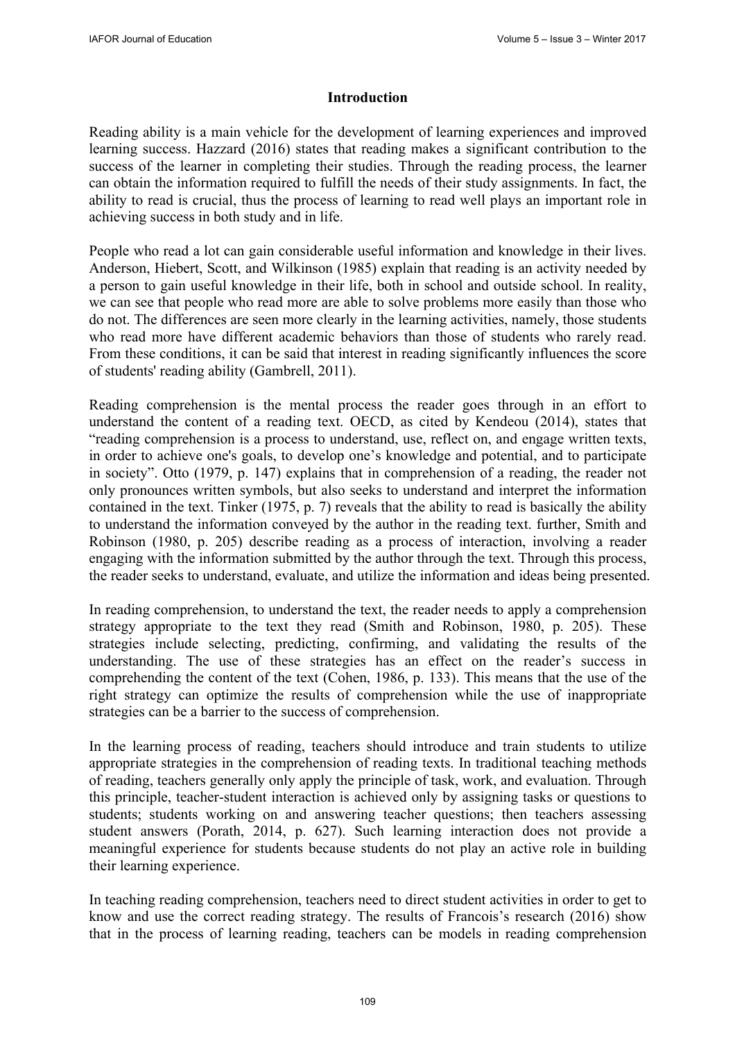#### **Introduction**

Reading ability is a main vehicle for the development of learning experiences and improved learning success. Hazzard (2016) states that reading makes a significant contribution to the success of the learner in completing their studies. Through the reading process, the learner can obtain the information required to fulfill the needs of their study assignments. In fact, the ability to read is crucial, thus the process of learning to read well plays an important role in achieving success in both study and in life.

People who read a lot can gain considerable useful information and knowledge in their lives. Anderson, Hiebert, Scott, and Wilkinson (1985) explain that reading is an activity needed by a person to gain useful knowledge in their life, both in school and outside school. In reality, we can see that people who read more are able to solve problems more easily than those who do not. The differences are seen more clearly in the learning activities, namely, those students who read more have different academic behaviors than those of students who rarely read. From these conditions, it can be said that interest in reading significantly influences the score of students' reading ability (Gambrell, 2011).

Reading comprehension is the mental process the reader goes through in an effort to understand the content of a reading text. OECD, as cited by Kendeou (2014), states that "reading comprehension is a process to understand, use, reflect on, and engage written texts, in order to achieve one's goals, to develop one's knowledge and potential, and to participate in society". Otto (1979, p. 147) explains that in comprehension of a reading, the reader not only pronounces written symbols, but also seeks to understand and interpret the information contained in the text. Tinker (1975, p. 7) reveals that the ability to read is basically the ability to understand the information conveyed by the author in the reading text. further, Smith and Robinson (1980, p. 205) describe reading as a process of interaction, involving a reader engaging with the information submitted by the author through the text. Through this process, the reader seeks to understand, evaluate, and utilize the information and ideas being presented.

In reading comprehension, to understand the text, the reader needs to apply a comprehension strategy appropriate to the text they read (Smith and Robinson, 1980, p. 205). These strategies include selecting, predicting, confirming, and validating the results of the understanding. The use of these strategies has an effect on the reader's success in comprehending the content of the text (Cohen, 1986, p. 133). This means that the use of the right strategy can optimize the results of comprehension while the use of inappropriate strategies can be a barrier to the success of comprehension.

In the learning process of reading, teachers should introduce and train students to utilize appropriate strategies in the comprehension of reading texts. In traditional teaching methods of reading, teachers generally only apply the principle of task, work, and evaluation. Through this principle, teacher-student interaction is achieved only by assigning tasks or questions to students; students working on and answering teacher questions; then teachers assessing student answers (Porath, 2014, p. 627). Such learning interaction does not provide a meaningful experience for students because students do not play an active role in building their learning experience.

In teaching reading comprehension, teachers need to direct student activities in order to get to know and use the correct reading strategy. The results of Francois's research (2016) show that in the process of learning reading, teachers can be models in reading comprehension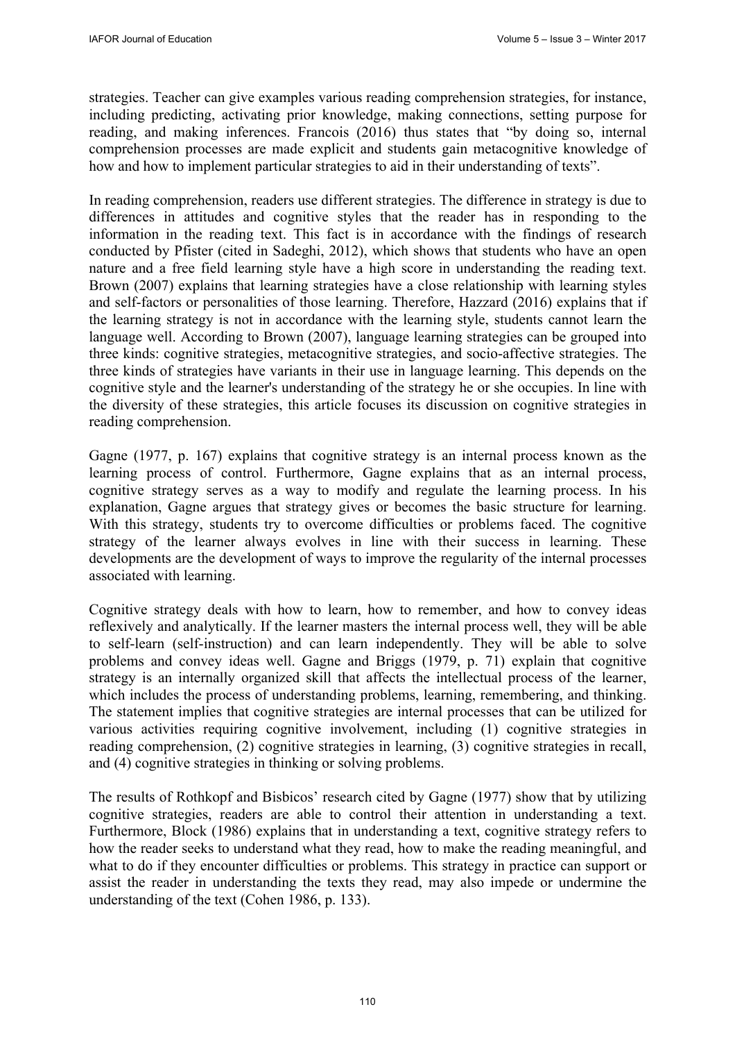strategies. Teacher can give examples various reading comprehension strategies, for instance, including predicting, activating prior knowledge, making connections, setting purpose for reading, and making inferences. Francois (2016) thus states that "by doing so, internal comprehension processes are made explicit and students gain metacognitive knowledge of how and how to implement particular strategies to aid in their understanding of texts".

In reading comprehension, readers use different strategies. The difference in strategy is due to differences in attitudes and cognitive styles that the reader has in responding to the information in the reading text. This fact is in accordance with the findings of research conducted by Pfister (cited in Sadeghi, 2012), which shows that students who have an open nature and a free field learning style have a high score in understanding the reading text. Brown (2007) explains that learning strategies have a close relationship with learning styles and self-factors or personalities of those learning. Therefore, Hazzard (2016) explains that if the learning strategy is not in accordance with the learning style, students cannot learn the language well. According to Brown (2007), language learning strategies can be grouped into three kinds: cognitive strategies, metacognitive strategies, and socio-affective strategies. The three kinds of strategies have variants in their use in language learning. This depends on the cognitive style and the learner's understanding of the strategy he or she occupies. In line with the diversity of these strategies, this article focuses its discussion on cognitive strategies in reading comprehension.

Gagne (1977, p. 167) explains that cognitive strategy is an internal process known as the learning process of control. Furthermore, Gagne explains that as an internal process, cognitive strategy serves as a way to modify and regulate the learning process. In his explanation, Gagne argues that strategy gives or becomes the basic structure for learning. With this strategy, students try to overcome difficulties or problems faced. The cognitive strategy of the learner always evolves in line with their success in learning. These developments are the development of ways to improve the regularity of the internal processes associated with learning.

Cognitive strategy deals with how to learn, how to remember, and how to convey ideas reflexively and analytically. If the learner masters the internal process well, they will be able to self-learn (self-instruction) and can learn independently. They will be able to solve problems and convey ideas well. Gagne and Briggs (1979, p. 71) explain that cognitive strategy is an internally organized skill that affects the intellectual process of the learner, which includes the process of understanding problems, learning, remembering, and thinking. The statement implies that cognitive strategies are internal processes that can be utilized for various activities requiring cognitive involvement, including (1) cognitive strategies in reading comprehension, (2) cognitive strategies in learning, (3) cognitive strategies in recall, and (4) cognitive strategies in thinking or solving problems.

The results of Rothkopf and Bisbicos' research cited by Gagne (1977) show that by utilizing cognitive strategies, readers are able to control their attention in understanding a text. Furthermore, Block (1986) explains that in understanding a text, cognitive strategy refers to how the reader seeks to understand what they read, how to make the reading meaningful, and what to do if they encounter difficulties or problems. This strategy in practice can support or assist the reader in understanding the texts they read, may also impede or undermine the understanding of the text (Cohen 1986, p. 133).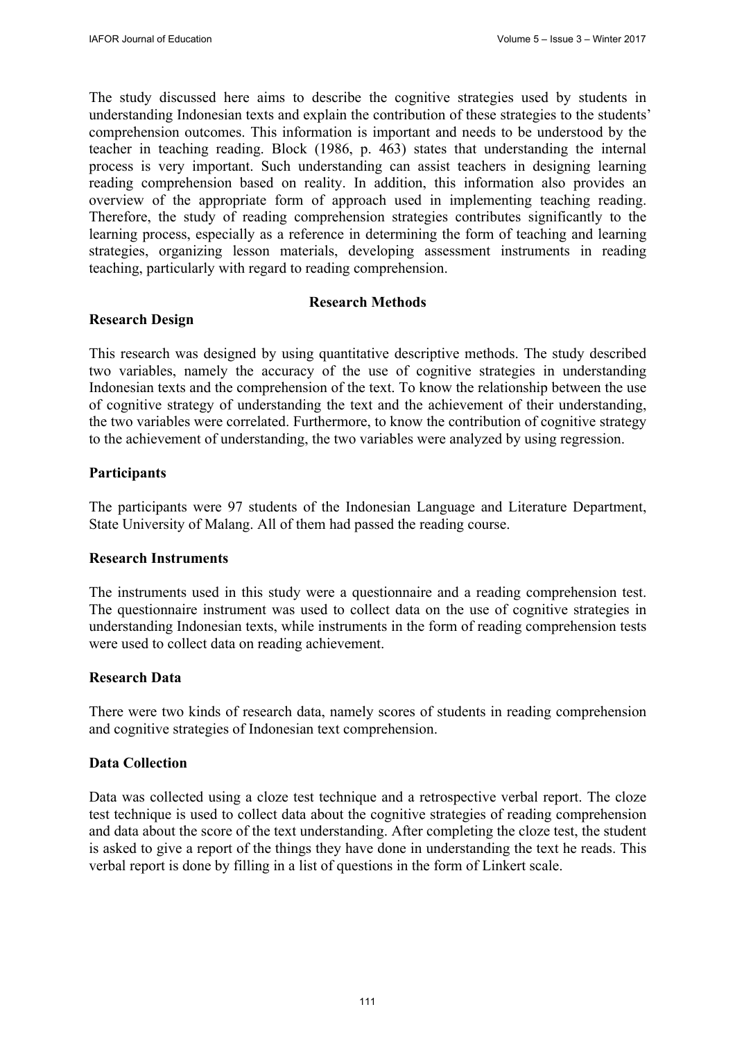The study discussed here aims to describe the cognitive strategies used by students in understanding Indonesian texts and explain the contribution of these strategies to the students' comprehension outcomes. This information is important and needs to be understood by the teacher in teaching reading. Block (1986, p. 463) states that understanding the internal process is very important. Such understanding can assist teachers in designing learning reading comprehension based on reality. In addition, this information also provides an overview of the appropriate form of approach used in implementing teaching reading. Therefore, the study of reading comprehension strategies contributes significantly to the learning process, especially as a reference in determining the form of teaching and learning strategies, organizing lesson materials, developing assessment instruments in reading teaching, particularly with regard to reading comprehension.

## **Research Methods**

#### **Research Design**

This research was designed by using quantitative descriptive methods. The study described two variables, namely the accuracy of the use of cognitive strategies in understanding Indonesian texts and the comprehension of the text. To know the relationship between the use of cognitive strategy of understanding the text and the achievement of their understanding, the two variables were correlated. Furthermore, to know the contribution of cognitive strategy to the achievement of understanding, the two variables were analyzed by using regression.

#### **Participants**

The participants were 97 students of the Indonesian Language and Literature Department, State University of Malang. All of them had passed the reading course.

#### **Research Instruments**

The instruments used in this study were a questionnaire and a reading comprehension test. The questionnaire instrument was used to collect data on the use of cognitive strategies in understanding Indonesian texts, while instruments in the form of reading comprehension tests were used to collect data on reading achievement.

#### **Research Data**

There were two kinds of research data, namely scores of students in reading comprehension and cognitive strategies of Indonesian text comprehension.

#### **Data Collection**

Data was collected using a cloze test technique and a retrospective verbal report. The cloze test technique is used to collect data about the cognitive strategies of reading comprehension and data about the score of the text understanding. After completing the cloze test, the student is asked to give a report of the things they have done in understanding the text he reads. This verbal report is done by filling in a list of questions in the form of Linkert scale.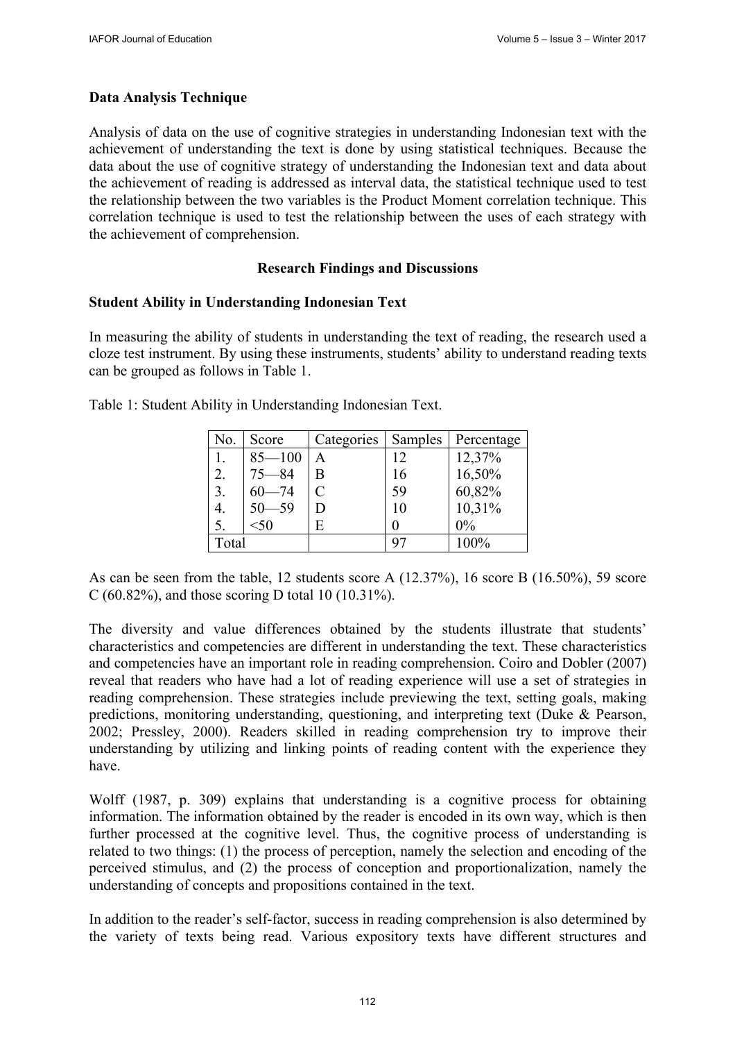## **Data Analysis Technique**

Analysis of data on the use of cognitive strategies in understanding Indonesian text with the achievement of understanding the text is done by using statistical techniques. Because the data about the use of cognitive strategy of understanding the Indonesian text and data about the achievement of reading is addressed as interval data, the statistical technique used to test the relationship between the two variables is the Product Moment correlation technique. This correlation technique is used to test the relationship between the uses of each strategy with the achievement of comprehension.

## **Research Findings and Discussions**

#### **Student Ability in Understanding Indonesian Text**

In measuring the ability of students in understanding the text of reading, the research used a cloze test instrument. By using these instruments, students' ability to understand reading texts can be grouped as follows in Table 1.

| No.   | Score      | Categories | Samples | Percentage |
|-------|------------|------------|---------|------------|
|       | $85 - 100$ | A          | 12      | 12,37%     |
| 2.    | $75 - 84$  | Β          | 16      | 16,50%     |
| 3.    | $60 - 74$  | C          | 59      | 60,82%     |
| 4.    | $50 - 59$  | D          | 10      | 10,31%     |
| 5.    | < 50       | E          |         | $0\%$      |
| Total |            |            | 97      | 100%       |

Table 1: Student Ability in Understanding Indonesian Text.

As can be seen from the table, 12 students score A (12.37%), 16 score B (16.50%), 59 score C (60.82%), and those scoring D total 10 (10.31%).

The diversity and value differences obtained by the students illustrate that students' characteristics and competencies are different in understanding the text. These characteristics and competencies have an important role in reading comprehension. Coiro and Dobler (2007) reveal that readers who have had a lot of reading experience will use a set of strategies in reading comprehension. These strategies include previewing the text, setting goals, making predictions, monitoring understanding, questioning, and interpreting text (Duke & Pearson, 2002; Pressley, 2000). Readers skilled in reading comprehension try to improve their understanding by utilizing and linking points of reading content with the experience they have.

Wolff (1987, p. 309) explains that understanding is a cognitive process for obtaining information. The information obtained by the reader is encoded in its own way, which is then further processed at the cognitive level. Thus, the cognitive process of understanding is related to two things: (1) the process of perception, namely the selection and encoding of the perceived stimulus, and (2) the process of conception and proportionalization, namely the understanding of concepts and propositions contained in the text.

In addition to the reader's self-factor, success in reading comprehension is also determined by the variety of texts being read. Various expository texts have different structures and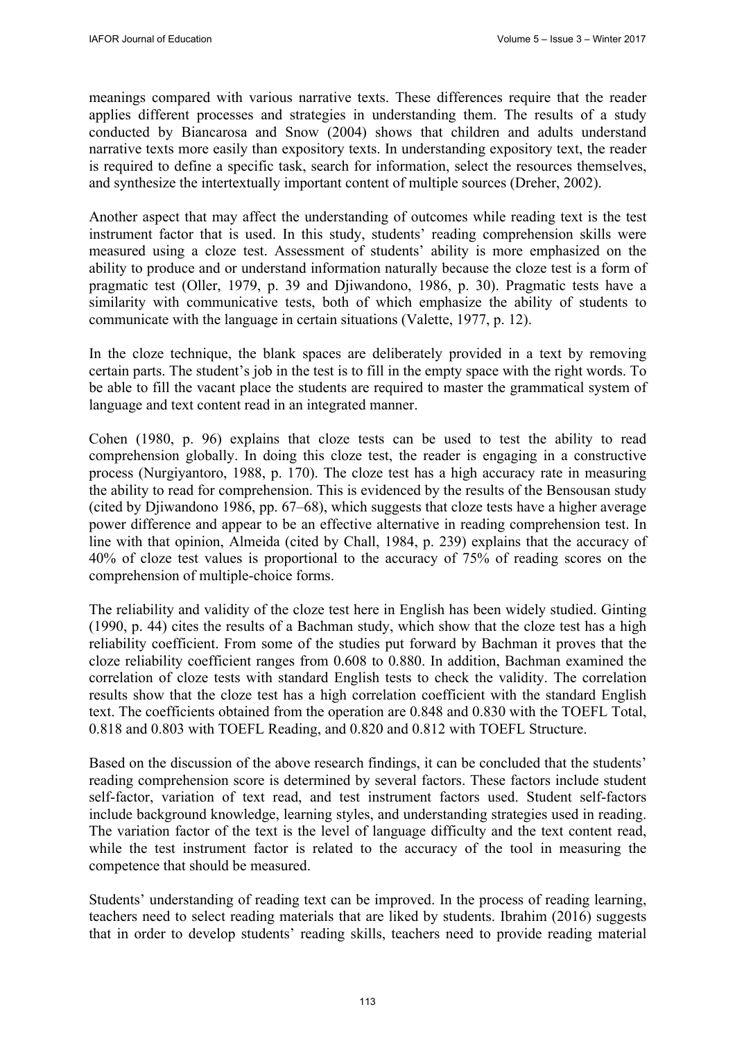meanings compared with various narrative texts. These differences require that the reader applies different processes and strategies in understanding them. The results of a study conducted by Biancarosa and Snow (2004) shows that children and adults understand narrative texts more easily than expository texts. In understanding expository text, the reader is required to define a specific task, search for information, select the resources themselves, and synthesize the intertextually important content of multiple sources (Dreher, 2002).

Another aspect that may affect the understanding of outcomes while reading text is the test instrument factor that is used. In this study, students' reading comprehension skills were measured using a cloze test. Assessment of students' ability is more emphasized on the ability to produce and or understand information naturally because the cloze test is a form of pragmatic test (Oller, 1979, p. 39 and Djiwandono, 1986, p. 30). Pragmatic tests have a similarity with communicative tests, both of which emphasize the ability of students to communicate with the language in certain situations (Valette, 1977, p. 12).

In the cloze technique, the blank spaces are deliberately provided in a text by removing certain parts. The student's job in the test is to fill in the empty space with the right words. To be able to fill the vacant place the students are required to master the grammatical system of language and text content read in an integrated manner.

Cohen (1980, p. 96) explains that cloze tests can be used to test the ability to read comprehension globally. In doing this cloze test, the reader is engaging in a constructive process (Nurgiyantoro, 1988, p. 170). The cloze test has a high accuracy rate in measuring the ability to read for comprehension. This is evidenced by the results of the Bensousan study (cited by Djiwandono 1986, pp. 67–68), which suggests that cloze tests have a higher average power difference and appear to be an effective alternative in reading comprehension test. In line with that opinion, Almeida (cited by Chall, 1984, p. 239) explains that the accuracy of 40% of cloze test values is proportional to the accuracy of 75% of reading scores on the comprehension of multiple-choice forms.

The reliability and validity of the cloze test here in English has been widely studied. Ginting (1990, p. 44) cites the results of a Bachman study, which show that the cloze test has a high reliability coefficient. From some of the studies put forward by Bachman it proves that the cloze reliability coefficient ranges from 0.608 to 0.880. In addition, Bachman examined the correlation of cloze tests with standard English tests to check the validity. The correlation results show that the cloze test has a high correlation coefficient with the standard English text. The coefficients obtained from the operation are 0.848 and 0.830 with the TOEFL Total, 0.818 and 0.803 with TOEFL Reading, and 0.820 and 0.812 with TOEFL Structure.

Based on the discussion of the above research findings, it can be concluded that the students' reading comprehension score is determined by several factors. These factors include student self-factor, variation of text read, and test instrument factors used. Student self-factors include background knowledge, learning styles, and understanding strategies used in reading. The variation factor of the text is the level of language difficulty and the text content read, while the test instrument factor is related to the accuracy of the tool in measuring the competence that should be measured.

Students' understanding of reading text can be improved. In the process of reading learning, teachers need to select reading materials that are liked by students. Ibrahim (2016) suggests that in order to develop students' reading skills, teachers need to provide reading material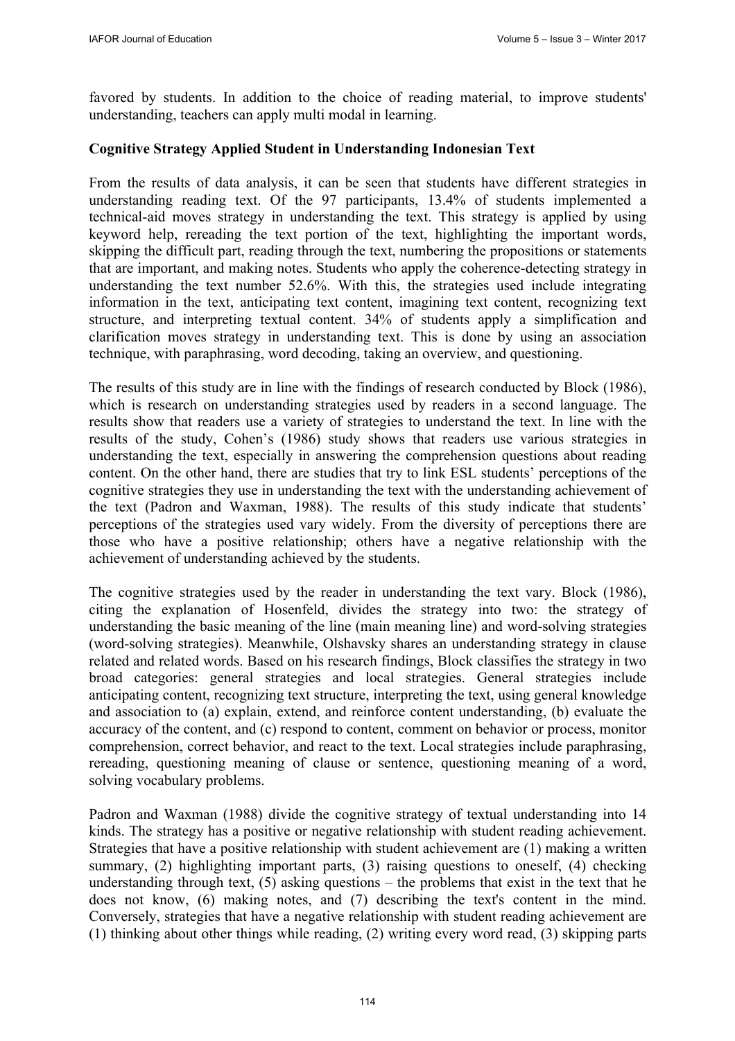favored by students. In addition to the choice of reading material, to improve students' understanding, teachers can apply multi modal in learning.

### **Cognitive Strategy Applied Student in Understanding Indonesian Text**

From the results of data analysis, it can be seen that students have different strategies in understanding reading text. Of the 97 participants, 13.4% of students implemented a technical-aid moves strategy in understanding the text. This strategy is applied by using keyword help, rereading the text portion of the text, highlighting the important words, skipping the difficult part, reading through the text, numbering the propositions or statements that are important, and making notes. Students who apply the coherence-detecting strategy in understanding the text number 52.6%. With this, the strategies used include integrating information in the text, anticipating text content, imagining text content, recognizing text structure, and interpreting textual content. 34% of students apply a simplification and clarification moves strategy in understanding text. This is done by using an association technique, with paraphrasing, word decoding, taking an overview, and questioning.

The results of this study are in line with the findings of research conducted by Block (1986), which is research on understanding strategies used by readers in a second language. The results show that readers use a variety of strategies to understand the text. In line with the results of the study, Cohen's (1986) study shows that readers use various strategies in understanding the text, especially in answering the comprehension questions about reading content. On the other hand, there are studies that try to link ESL students' perceptions of the cognitive strategies they use in understanding the text with the understanding achievement of the text (Padron and Waxman, 1988). The results of this study indicate that students' perceptions of the strategies used vary widely. From the diversity of perceptions there are those who have a positive relationship; others have a negative relationship with the achievement of understanding achieved by the students.

The cognitive strategies used by the reader in understanding the text vary. Block (1986), citing the explanation of Hosenfeld, divides the strategy into two: the strategy of understanding the basic meaning of the line (main meaning line) and word-solving strategies (word-solving strategies). Meanwhile, Olshavsky shares an understanding strategy in clause related and related words. Based on his research findings, Block classifies the strategy in two broad categories: general strategies and local strategies. General strategies include anticipating content, recognizing text structure, interpreting the text, using general knowledge and association to (a) explain, extend, and reinforce content understanding, (b) evaluate the accuracy of the content, and (c) respond to content, comment on behavior or process, monitor comprehension, correct behavior, and react to the text. Local strategies include paraphrasing, rereading, questioning meaning of clause or sentence, questioning meaning of a word, solving vocabulary problems.

Padron and Waxman (1988) divide the cognitive strategy of textual understanding into 14 kinds. The strategy has a positive or negative relationship with student reading achievement. Strategies that have a positive relationship with student achievement are (1) making a written summary, (2) highlighting important parts, (3) raising questions to oneself, (4) checking understanding through text,  $(5)$  asking questions – the problems that exist in the text that he does not know, (6) making notes, and (7) describing the text's content in the mind. Conversely, strategies that have a negative relationship with student reading achievement are (1) thinking about other things while reading, (2) writing every word read, (3) skipping parts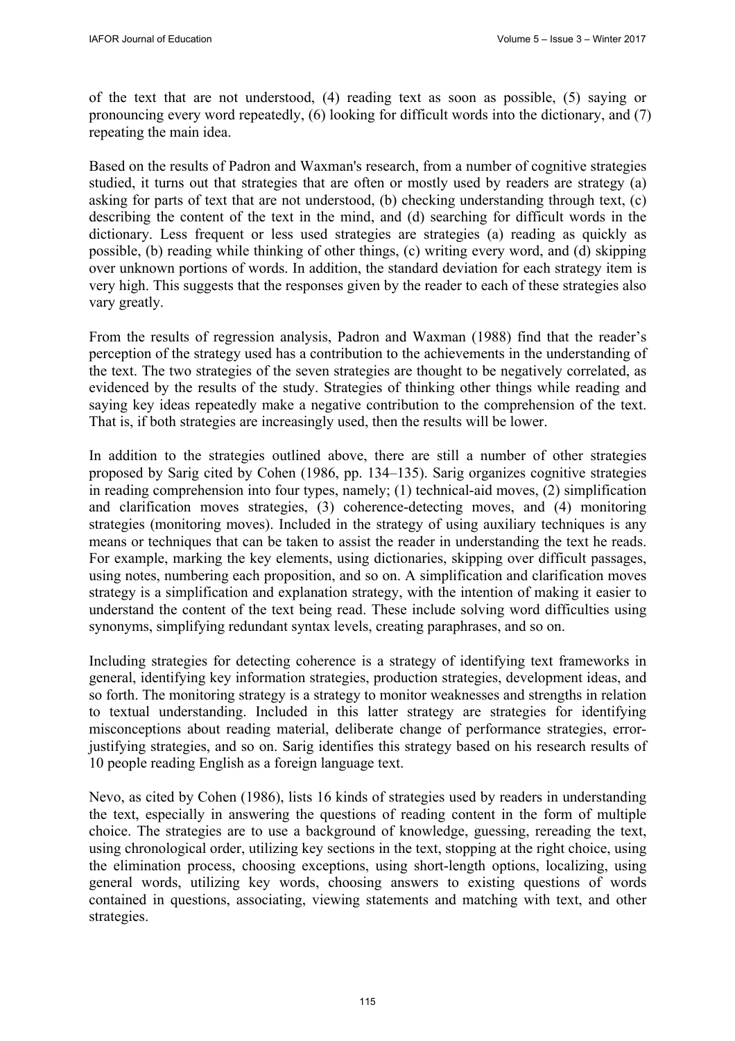of the text that are not understood, (4) reading text as soon as possible, (5) saying or pronouncing every word repeatedly, (6) looking for difficult words into the dictionary, and (7) repeating the main idea.

Based on the results of Padron and Waxman's research, from a number of cognitive strategies studied, it turns out that strategies that are often or mostly used by readers are strategy (a) asking for parts of text that are not understood, (b) checking understanding through text, (c) describing the content of the text in the mind, and (d) searching for difficult words in the dictionary. Less frequent or less used strategies are strategies (a) reading as quickly as possible, (b) reading while thinking of other things, (c) writing every word, and (d) skipping over unknown portions of words. In addition, the standard deviation for each strategy item is very high. This suggests that the responses given by the reader to each of these strategies also vary greatly.

From the results of regression analysis, Padron and Waxman (1988) find that the reader's perception of the strategy used has a contribution to the achievements in the understanding of the text. The two strategies of the seven strategies are thought to be negatively correlated, as evidenced by the results of the study. Strategies of thinking other things while reading and saying key ideas repeatedly make a negative contribution to the comprehension of the text. That is, if both strategies are increasingly used, then the results will be lower.

In addition to the strategies outlined above, there are still a number of other strategies proposed by Sarig cited by Cohen (1986, pp. 134–135). Sarig organizes cognitive strategies in reading comprehension into four types, namely; (1) technical-aid moves, (2) simplification and clarification moves strategies, (3) coherence-detecting moves, and (4) monitoring strategies (monitoring moves). Included in the strategy of using auxiliary techniques is any means or techniques that can be taken to assist the reader in understanding the text he reads. For example, marking the key elements, using dictionaries, skipping over difficult passages, using notes, numbering each proposition, and so on. A simplification and clarification moves strategy is a simplification and explanation strategy, with the intention of making it easier to understand the content of the text being read. These include solving word difficulties using synonyms, simplifying redundant syntax levels, creating paraphrases, and so on.

Including strategies for detecting coherence is a strategy of identifying text frameworks in general, identifying key information strategies, production strategies, development ideas, and so forth. The monitoring strategy is a strategy to monitor weaknesses and strengths in relation to textual understanding. Included in this latter strategy are strategies for identifying misconceptions about reading material, deliberate change of performance strategies, errorjustifying strategies, and so on. Sarig identifies this strategy based on his research results of 10 people reading English as a foreign language text.

Nevo, as cited by Cohen (1986), lists 16 kinds of strategies used by readers in understanding the text, especially in answering the questions of reading content in the form of multiple choice. The strategies are to use a background of knowledge, guessing, rereading the text, using chronological order, utilizing key sections in the text, stopping at the right choice, using the elimination process, choosing exceptions, using short-length options, localizing, using general words, utilizing key words, choosing answers to existing questions of words contained in questions, associating, viewing statements and matching with text, and other strategies.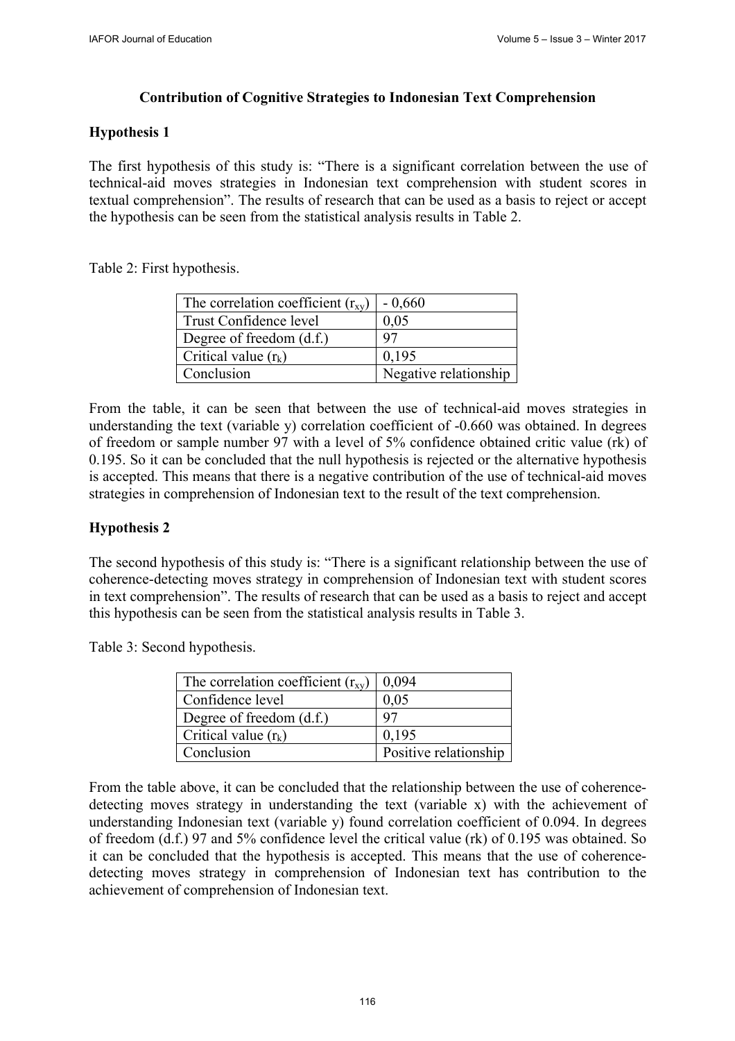## **Contribution of Cognitive Strategies to Indonesian Text Comprehension**

## **Hypothesis 1**

The first hypothesis of this study is: "There is a significant correlation between the use of technical-aid moves strategies in Indonesian text comprehension with student scores in textual comprehension". The results of research that can be used as a basis to reject or accept the hypothesis can be seen from the statistical analysis results in Table 2.

Table 2: First hypothesis.

| The correlation coefficient $(r_{xy})$ | $-0,660$              |
|----------------------------------------|-----------------------|
| Trust Confidence level                 | 0,05                  |
| Degree of freedom $(d.f.)$             | 97                    |
| Critical value $(r_k)$                 | 0.195                 |
| Conclusion                             | Negative relationship |

From the table, it can be seen that between the use of technical-aid moves strategies in understanding the text (variable y) correlation coefficient of -0.660 was obtained. In degrees of freedom or sample number 97 with a level of 5% confidence obtained critic value (rk) of 0.195. So it can be concluded that the null hypothesis is rejected or the alternative hypothesis is accepted. This means that there is a negative contribution of the use of technical-aid moves strategies in comprehension of Indonesian text to the result of the text comprehension.

## **Hypothesis 2**

The second hypothesis of this study is: "There is a significant relationship between the use of coherence-detecting moves strategy in comprehension of Indonesian text with student scores in text comprehension". The results of research that can be used as a basis to reject and accept this hypothesis can be seen from the statistical analysis results in Table 3.

Table 3: Second hypothesis.

| The correlation coefficient $(r_{xy})$ | 0.094                 |
|----------------------------------------|-----------------------|
| Confidence level                       | 0.05                  |
| Degree of freedom $(d.f.)$             | Q <sub>7</sub>        |
| Critical value $(r_k)$                 | 0.195                 |
| Conclusion                             | Positive relationship |

From the table above, it can be concluded that the relationship between the use of coherencedetecting moves strategy in understanding the text (variable x) with the achievement of understanding Indonesian text (variable y) found correlation coefficient of 0.094. In degrees of freedom (d.f.) 97 and 5% confidence level the critical value (rk) of 0.195 was obtained. So it can be concluded that the hypothesis is accepted. This means that the use of coherencedetecting moves strategy in comprehension of Indonesian text has contribution to the achievement of comprehension of Indonesian text.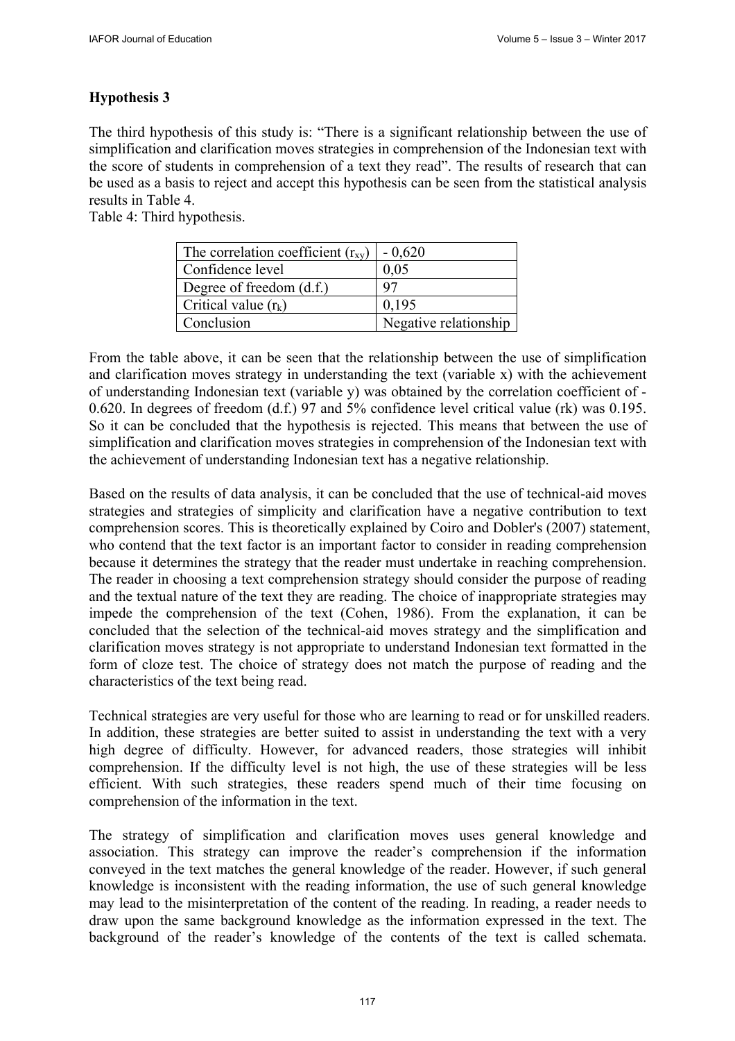## **Hypothesis 3**

The third hypothesis of this study is: "There is a significant relationship between the use of simplification and clarification moves strategies in comprehension of the Indonesian text with the score of students in comprehension of a text they read". The results of research that can be used as a basis to reject and accept this hypothesis can be seen from the statistical analysis results in Table 4.

Table 4: Third hypothesis.

| The correlation coefficient $(r_{xy})$ | $-0,620$              |
|----------------------------------------|-----------------------|
| Confidence level                       | 0,05                  |
| Degree of freedom $(d.f.)$             |                       |
| Critical value $(r_k)$                 | 0,195                 |
| Conclusion                             | Negative relationship |

From the table above, it can be seen that the relationship between the use of simplification and clarification moves strategy in understanding the text (variable x) with the achievement of understanding Indonesian text (variable y) was obtained by the correlation coefficient of - 0.620. In degrees of freedom (d.f.) 97 and 5% confidence level critical value (rk) was 0.195. So it can be concluded that the hypothesis is rejected. This means that between the use of simplification and clarification moves strategies in comprehension of the Indonesian text with the achievement of understanding Indonesian text has a negative relationship.

Based on the results of data analysis, it can be concluded that the use of technical-aid moves strategies and strategies of simplicity and clarification have a negative contribution to text comprehension scores. This is theoretically explained by Coiro and Dobler's (2007) statement, who contend that the text factor is an important factor to consider in reading comprehension because it determines the strategy that the reader must undertake in reaching comprehension. The reader in choosing a text comprehension strategy should consider the purpose of reading and the textual nature of the text they are reading. The choice of inappropriate strategies may impede the comprehension of the text (Cohen, 1986). From the explanation, it can be concluded that the selection of the technical-aid moves strategy and the simplification and clarification moves strategy is not appropriate to understand Indonesian text formatted in the form of cloze test. The choice of strategy does not match the purpose of reading and the characteristics of the text being read.

Technical strategies are very useful for those who are learning to read or for unskilled readers. In addition, these strategies are better suited to assist in understanding the text with a very high degree of difficulty. However, for advanced readers, those strategies will inhibit comprehension. If the difficulty level is not high, the use of these strategies will be less efficient. With such strategies, these readers spend much of their time focusing on comprehension of the information in the text.

The strategy of simplification and clarification moves uses general knowledge and association. This strategy can improve the reader's comprehension if the information conveyed in the text matches the general knowledge of the reader. However, if such general knowledge is inconsistent with the reading information, the use of such general knowledge may lead to the misinterpretation of the content of the reading. In reading, a reader needs to draw upon the same background knowledge as the information expressed in the text. The background of the reader's knowledge of the contents of the text is called schemata.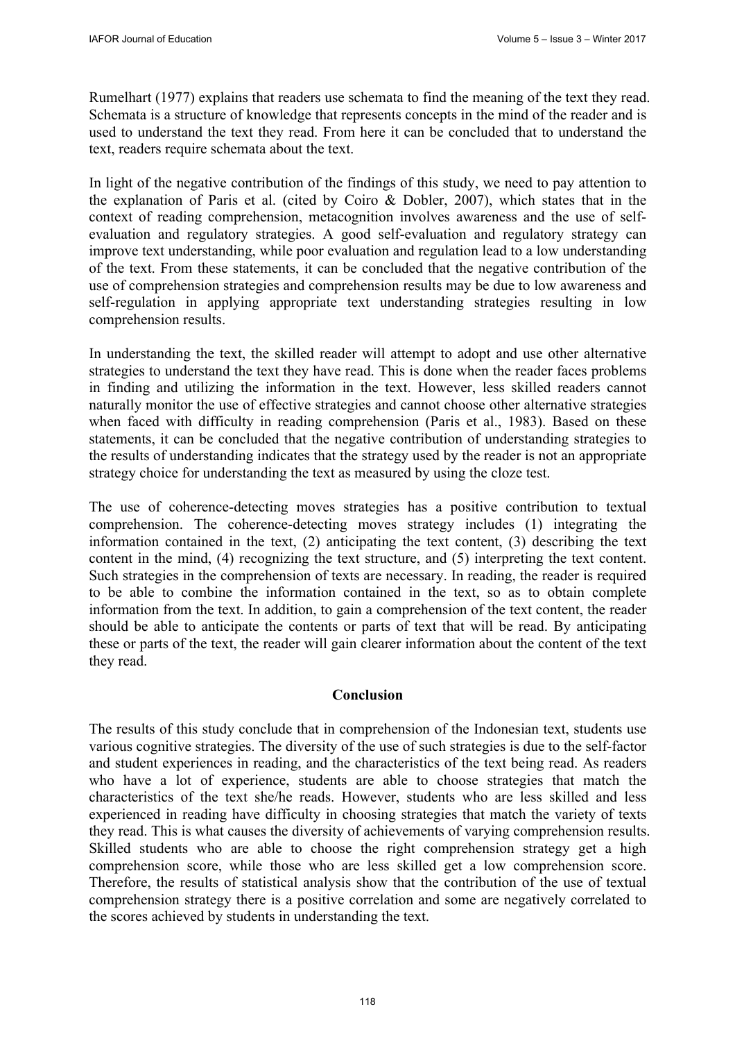Rumelhart (1977) explains that readers use schemata to find the meaning of the text they read. Schemata is a structure of knowledge that represents concepts in the mind of the reader and is used to understand the text they read. From here it can be concluded that to understand the text, readers require schemata about the text.

In light of the negative contribution of the findings of this study, we need to pay attention to the explanation of Paris et al. (cited by Coiro & Dobler, 2007), which states that in the context of reading comprehension, metacognition involves awareness and the use of selfevaluation and regulatory strategies. A good self-evaluation and regulatory strategy can improve text understanding, while poor evaluation and regulation lead to a low understanding of the text. From these statements, it can be concluded that the negative contribution of the use of comprehension strategies and comprehension results may be due to low awareness and self-regulation in applying appropriate text understanding strategies resulting in low comprehension results.

In understanding the text, the skilled reader will attempt to adopt and use other alternative strategies to understand the text they have read. This is done when the reader faces problems in finding and utilizing the information in the text. However, less skilled readers cannot naturally monitor the use of effective strategies and cannot choose other alternative strategies when faced with difficulty in reading comprehension (Paris et al., 1983). Based on these statements, it can be concluded that the negative contribution of understanding strategies to the results of understanding indicates that the strategy used by the reader is not an appropriate strategy choice for understanding the text as measured by using the cloze test.

The use of coherence-detecting moves strategies has a positive contribution to textual comprehension. The coherence-detecting moves strategy includes (1) integrating the information contained in the text, (2) anticipating the text content, (3) describing the text content in the mind, (4) recognizing the text structure, and (5) interpreting the text content. Such strategies in the comprehension of texts are necessary. In reading, the reader is required to be able to combine the information contained in the text, so as to obtain complete information from the text. In addition, to gain a comprehension of the text content, the reader should be able to anticipate the contents or parts of text that will be read. By anticipating these or parts of the text, the reader will gain clearer information about the content of the text they read.

#### **Conclusion**

The results of this study conclude that in comprehension of the Indonesian text, students use various cognitive strategies. The diversity of the use of such strategies is due to the self-factor and student experiences in reading, and the characteristics of the text being read. As readers who have a lot of experience, students are able to choose strategies that match the characteristics of the text she/he reads. However, students who are less skilled and less experienced in reading have difficulty in choosing strategies that match the variety of texts they read. This is what causes the diversity of achievements of varying comprehension results. Skilled students who are able to choose the right comprehension strategy get a high comprehension score, while those who are less skilled get a low comprehension score. Therefore, the results of statistical analysis show that the contribution of the use of textual comprehension strategy there is a positive correlation and some are negatively correlated to the scores achieved by students in understanding the text.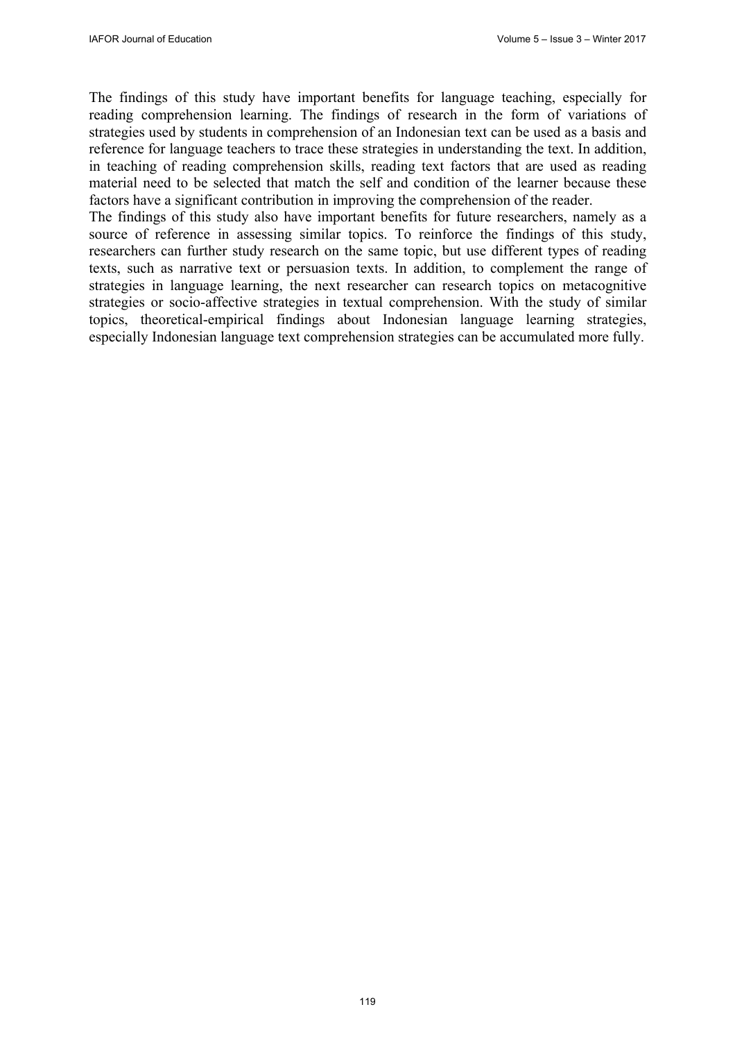The findings of this study have important benefits for language teaching, especially for reading comprehension learning. The findings of research in the form of variations of strategies used by students in comprehension of an Indonesian text can be used as a basis and reference for language teachers to trace these strategies in understanding the text. In addition, in teaching of reading comprehension skills, reading text factors that are used as reading material need to be selected that match the self and condition of the learner because these factors have a significant contribution in improving the comprehension of the reader.

The findings of this study also have important benefits for future researchers, namely as a source of reference in assessing similar topics. To reinforce the findings of this study, researchers can further study research on the same topic, but use different types of reading texts, such as narrative text or persuasion texts. In addition, to complement the range of strategies in language learning, the next researcher can research topics on metacognitive strategies or socio-affective strategies in textual comprehension. With the study of similar topics, theoretical-empirical findings about Indonesian language learning strategies, especially Indonesian language text comprehension strategies can be accumulated more fully.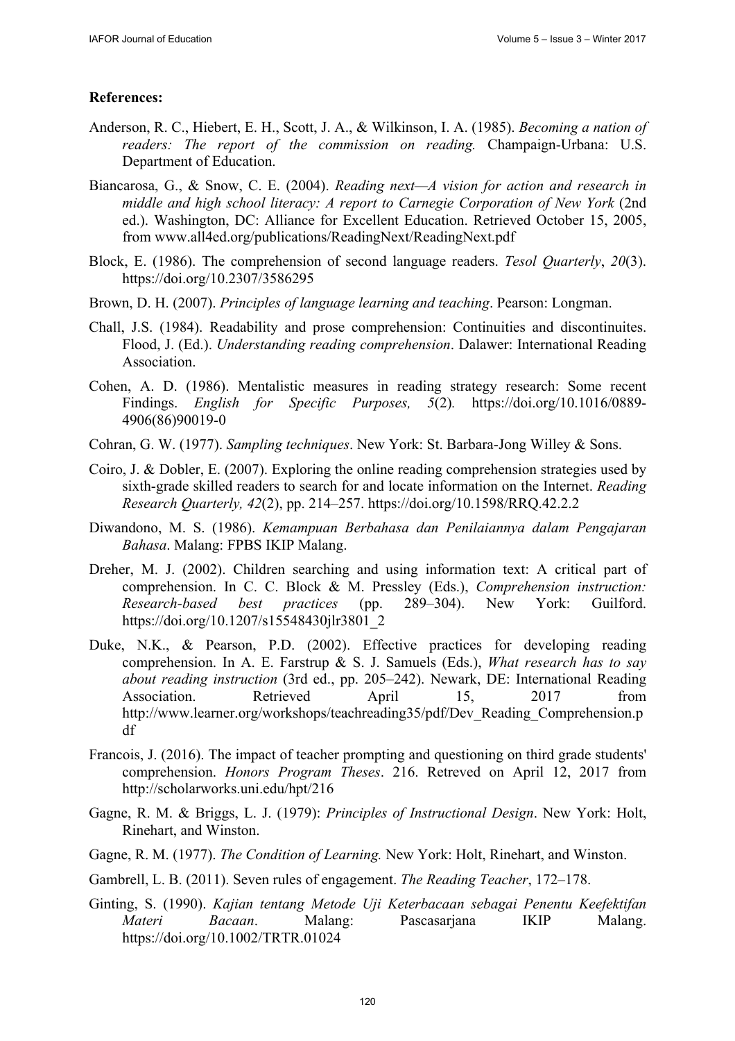#### **References:**

- Anderson, R. C., Hiebert, E. H., Scott, J. A., & Wilkinson, I. A. (1985). *Becoming a nation of readers: The report of the commission on reading.* Champaign-Urbana: U.S. Department of Education.
- Biancarosa, G., & Snow, C. E. (2004). *Reading next—A vision for action and research in middle and high school literacy: A report to Carnegie Corporation of New York* (2nd ed.). Washington, DC: Alliance for Excellent Education. Retrieved October 15, 2005, from www.all4ed.org/publications/ReadingNext/ReadingNext.pdf
- Block, E. (1986). The comprehension of second language readers. *Tesol Quarterly*, *20*(3). https://doi.org/10.2307/3586295
- Brown, D. H. (2007). *Principles of language learning and teaching*. Pearson: Longman.
- Chall, J.S. (1984). Readability and prose comprehension: Continuities and discontinuites. Flood, J. (Ed.). *Understanding reading comprehension*. Dalawer: International Reading **Association**
- Cohen, A. D. (1986). Mentalistic measures in reading strategy research: Some recent Findings. *English for Specific Purposes, 5*(2)*.* https://doi.org/10.1016/0889- 4906(86)90019-0
- Cohran, G. W. (1977). *Sampling techniques*. New York: St. Barbara-Jong Willey & Sons.
- Coiro, J. & Dobler, E. (2007). Exploring the online reading comprehension strategies used by sixth-grade skilled readers to search for and locate information on the Internet. *Reading Research Quarterly, 42*(2), pp. 214–257. https://doi.org/10.1598/RRQ.42.2.2
- Diwandono, M. S. (1986). *Kemampuan Berbahasa dan Penilaiannya dalam Pengajaran Bahasa*. Malang: FPBS IKIP Malang.
- Dreher, M. J. (2002). Children searching and using information text: A critical part of comprehension. In C. C. Block & M. Pressley (Eds.), *Comprehension instruction: Research-based best practices* (pp. 289–304). New York: Guilford. https://doi.org/10.1207/s15548430jlr3801\_2
- Duke, N.K., & Pearson, P.D. (2002). Effective practices for developing reading comprehension. In A. E. Farstrup & S. J. Samuels (Eds.), *What research has to say about reading instruction* (3rd ed., pp. 205–242). Newark, DE: International Reading Association. Retrieved April 15, 2017 from http://www.learner.org/workshops/teachreading35/pdf/Dev\_Reading\_Comprehension.p df
- Francois, J. (2016). The impact of teacher prompting and questioning on third grade students' comprehension. *Honors Program Theses*. 216. Retreved on April 12, 2017 from http://scholarworks.uni.edu/hpt/216
- Gagne, R. M. & Briggs, L. J. (1979): *Principles of Instructional Design*. New York: Holt, Rinehart, and Winston.
- Gagne, R. M. (1977). *The Condition of Learning.* New York: Holt, Rinehart, and Winston.
- Gambrell, L. B. (2011). Seven rules of engagement. *The Reading Teacher*, 172–178.
- Ginting, S. (1990). *Kajian tentang Metode Uji Keterbacaan sebagai Penentu Keefektifan Materi Bacaan*. Malang: Pascasarjana IKIP Malang. https://doi.org/10.1002/TRTR.01024